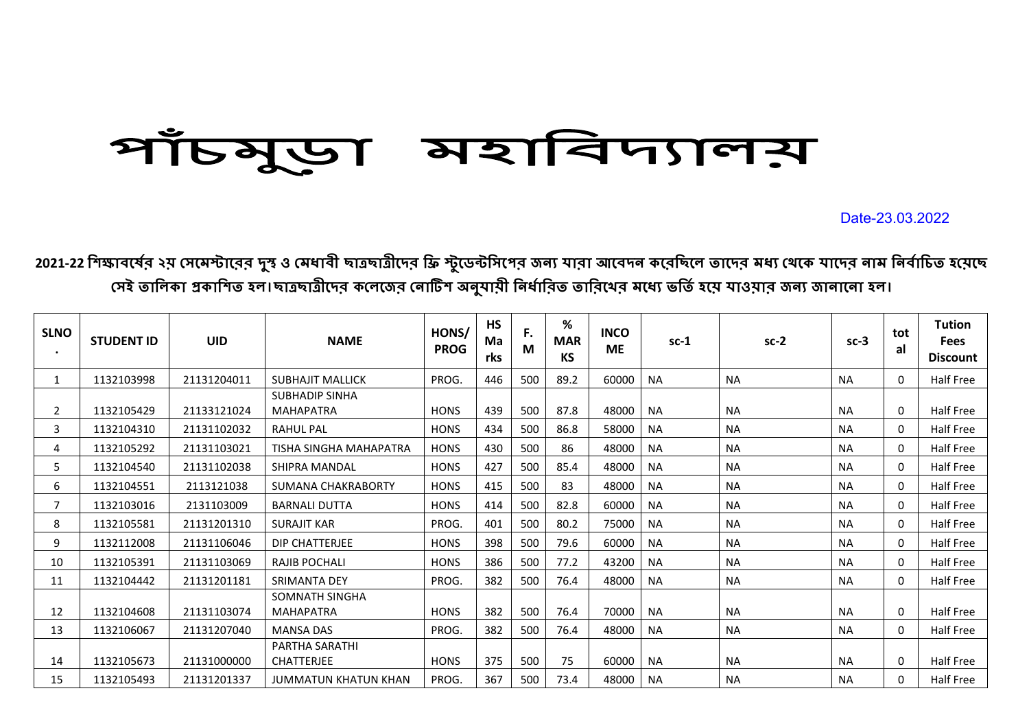## পাঁচমুড়া মহাবিদ্যালয়

Date-23.03.2022

2021-22 শিক্ষাবর্ষের ২য় সেমেস্টারের দুস্ব ও মেধাবী ছাত্রছাত্রীদের ফ্রি স্টুডেন্টসিপের জন্য আবেদন করেছিলে তাদের মধ্য থেকে যাদের নাম নির্বাচিত হয়েছে সেই তালিকা প্রকাশিত হল।ছাত্রছাত্রীদের কলেজের নোটিশ অনুযায়ী নির্ধারিত তারিথের মধ্যে ভর্তি হয়ে যাওয়ার জন্য জানানো হল।

| <b>SLNO</b><br>$\bullet$ | <b>STUDENT ID</b> | <b>UID</b>  | <b>NAME</b>                 | HONS/<br><b>PROG</b> | <b>HS</b><br>Ma<br>rks | F.<br>M | $\%$<br><b>MAR</b><br>KS | <b>INCO</b><br><b>ME</b> | $sc-1$    | $sc-2$    | $sc-3$    | tot<br>al | <b>Tution</b><br><b>Fees</b><br><b>Discount</b> |
|--------------------------|-------------------|-------------|-----------------------------|----------------------|------------------------|---------|--------------------------|--------------------------|-----------|-----------|-----------|-----------|-------------------------------------------------|
|                          | 1132103998        | 21131204011 | <b>SUBHAJIT MALLICK</b>     | PROG.                | 446                    | 500     | 89.2                     | 60000                    | <b>NA</b> | <b>NA</b> | <b>NA</b> | 0         | Half Free                                       |
|                          |                   |             | <b>SUBHADIP SINHA</b>       |                      |                        |         |                          |                          |           |           |           |           |                                                 |
| 2                        | 1132105429        | 21133121024 | <b>MAHAPATRA</b>            | <b>HONS</b>          | 439                    | 500     | 87.8                     | 48000                    | <b>NA</b> | <b>NA</b> | <b>NA</b> | 0         | Half Free                                       |
| 3                        | 1132104310        | 21131102032 | <b>RAHUL PAL</b>            | <b>HONS</b>          | 434                    | 500     | 86.8                     | 58000                    | <b>NA</b> | <b>NA</b> | <b>NA</b> | 0         | Half Free                                       |
| 4                        | 1132105292        | 21131103021 | TISHA SINGHA MAHAPATRA      | <b>HONS</b>          | 430                    | 500     | 86                       | 48000                    | <b>NA</b> | <b>NA</b> | <b>NA</b> | 0         | Half Free                                       |
| 5.                       | 1132104540        | 21131102038 | <b>SHIPRA MANDAL</b>        | <b>HONS</b>          | 427                    | 500     | 85.4                     | 48000                    | <b>NA</b> | <b>NA</b> | <b>NA</b> | 0         | Half Free                                       |
| 6                        | 1132104551        | 2113121038  | SUMANA CHAKRABORTY          | <b>HONS</b>          | 415                    | 500     | 83                       | 48000                    | <b>NA</b> | <b>NA</b> | <b>NA</b> | 0         | Half Free                                       |
| 7                        | 1132103016        | 2131103009  | <b>BARNALI DUTTA</b>        | <b>HONS</b>          | 414                    | 500     | 82.8                     | 60000                    | <b>NA</b> | <b>NA</b> | <b>NA</b> | 0         | Half Free                                       |
| 8                        | 1132105581        | 21131201310 | <b>SURAJIT KAR</b>          | PROG.                | 401                    | 500     | 80.2                     | 75000                    | <b>NA</b> | <b>NA</b> | <b>NA</b> | 0         | Half Free                                       |
| 9                        | 1132112008        | 21131106046 | DIP CHATTERJEE              | <b>HONS</b>          | 398                    | 500     | 79.6                     | 60000                    | <b>NA</b> | <b>NA</b> | <b>NA</b> | $\Omega$  | Half Free                                       |
| 10                       | 1132105391        | 21131103069 | RAJIB POCHALI               | <b>HONS</b>          | 386                    | 500     | 77.2                     | 43200                    | <b>NA</b> | <b>NA</b> | <b>NA</b> | 0         | Half Free                                       |
| 11                       | 1132104442        | 21131201181 | <b>SRIMANTA DEY</b>         | PROG.                | 382                    | 500     | 76.4                     | 48000                    | <b>NA</b> | <b>NA</b> | <b>NA</b> | 0         | Half Free                                       |
|                          |                   |             | SOMNATH SINGHA              |                      |                        |         |                          |                          |           |           |           |           |                                                 |
| 12                       | 1132104608        | 21131103074 | <b>MAHAPATRA</b>            | <b>HONS</b>          | 382                    | 500     | 76.4                     | 70000                    | <b>NA</b> | <b>NA</b> | <b>NA</b> | 0         | Half Free                                       |
| 13                       | 1132106067        | 21131207040 | <b>MANSA DAS</b>            | PROG.                | 382                    | 500     | 76.4                     | 48000                    | <b>NA</b> | <b>NA</b> | <b>NA</b> | 0         | Half Free                                       |
|                          |                   |             | PARTHA SARATHI              |                      |                        |         |                          |                          |           |           |           |           |                                                 |
| 14                       | 1132105673        | 21131000000 | <b>CHATTERJEE</b>           | <b>HONS</b>          | 375                    | 500     | 75                       | 60000                    | <b>NA</b> | <b>NA</b> | <b>NA</b> | 0         | Half Free                                       |
| 15                       | 1132105493        | 21131201337 | <b>JUMMATUN KHATUN KHAN</b> | PROG.                | 367                    | 500     | 73.4                     | 48000                    | NA        | <b>NA</b> | <b>NA</b> | 0         | Half Free                                       |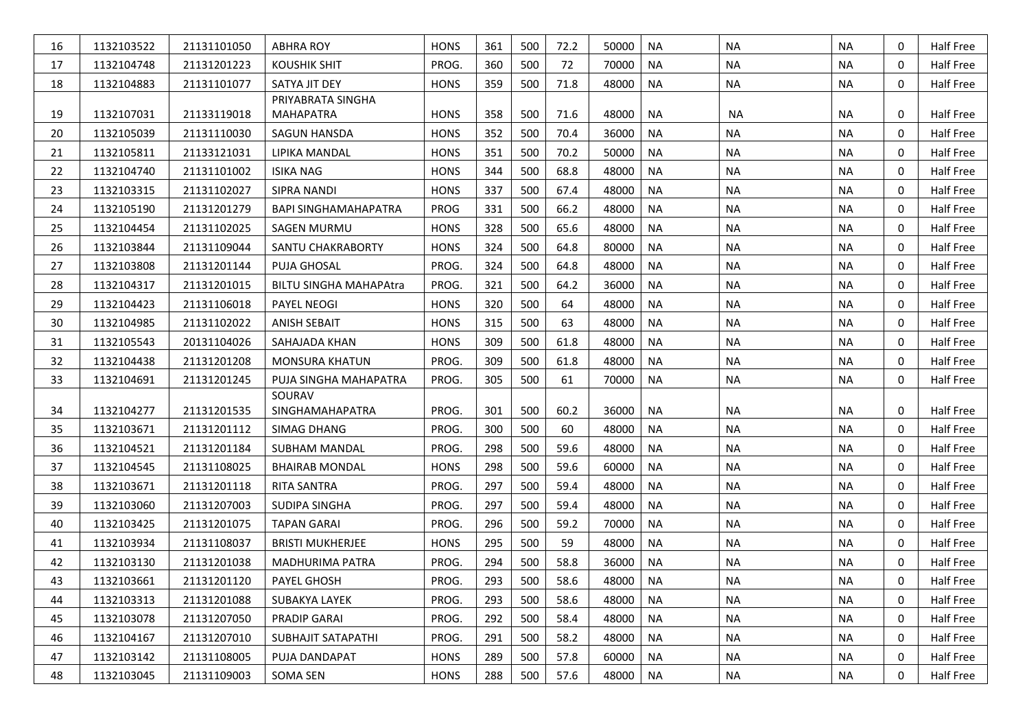| 16 | 1132103522 | 21131101050 | <b>ABHRA ROY</b>                      | <b>HONS</b> | 361 | 500 | 72.2 | 50000 | <b>NA</b> | <b>NA</b> | <b>NA</b> | $\mathbf 0$  | Half Free |
|----|------------|-------------|---------------------------------------|-------------|-----|-----|------|-------|-----------|-----------|-----------|--------------|-----------|
| 17 | 1132104748 | 21131201223 | <b>KOUSHIK SHIT</b>                   | PROG.       | 360 | 500 | 72   | 70000 | NA        | <b>NA</b> | <b>NA</b> | 0            | Half Free |
| 18 | 1132104883 | 21131101077 | SATYA JIT DEY                         | <b>HONS</b> | 359 | 500 | 71.8 | 48000 | <b>NA</b> | <b>NA</b> | <b>NA</b> | 0            | Half Free |
| 19 | 1132107031 | 21133119018 | PRIYABRATA SINGHA<br><b>MAHAPATRA</b> | <b>HONS</b> | 358 | 500 | 71.6 | 48000 | <b>NA</b> | <b>NA</b> | <b>NA</b> | 0            | Half Free |
| 20 | 1132105039 | 21131110030 | SAGUN HANSDA                          | <b>HONS</b> | 352 | 500 | 70.4 | 36000 | <b>NA</b> | <b>NA</b> | <b>NA</b> | 0            | Half Free |
| 21 | 1132105811 | 21133121031 | LIPIKA MANDAL                         | <b>HONS</b> | 351 | 500 | 70.2 | 50000 | <b>NA</b> | <b>NA</b> | <b>NA</b> | 0            | Half Free |
| 22 | 1132104740 | 21131101002 | <b>ISIKA NAG</b>                      | <b>HONS</b> | 344 | 500 | 68.8 | 48000 | <b>NA</b> | <b>NA</b> | <b>NA</b> | 0            | Half Free |
| 23 | 1132103315 | 21131102027 | <b>SIPRA NANDI</b>                    | <b>HONS</b> | 337 | 500 | 67.4 | 48000 | <b>NA</b> | <b>NA</b> | <b>NA</b> | 0            | Half Free |
| 24 | 1132105190 | 21131201279 | <b>BAPI SINGHAMAHAPATRA</b>           | <b>PROG</b> | 331 | 500 | 66.2 | 48000 | <b>NA</b> | <b>NA</b> | <b>NA</b> | 0            | Half Free |
| 25 | 1132104454 | 21131102025 | SAGEN MURMU                           | <b>HONS</b> | 328 | 500 | 65.6 | 48000 | <b>NA</b> | <b>NA</b> | <b>NA</b> | 0            | Half Free |
| 26 | 1132103844 | 21131109044 | SANTU CHAKRABORTY                     | <b>HONS</b> | 324 | 500 | 64.8 | 80000 | <b>NA</b> | <b>NA</b> | <b>NA</b> | 0            | Half Free |
| 27 | 1132103808 | 21131201144 | PUJA GHOSAL                           | PROG.       | 324 | 500 | 64.8 | 48000 | <b>NA</b> | <b>NA</b> | <b>NA</b> | 0            | Half Free |
| 28 | 1132104317 | 21131201015 | <b>BILTU SINGHA MAHAPAtra</b>         | PROG.       | 321 | 500 | 64.2 | 36000 | <b>NA</b> | <b>NA</b> | <b>NA</b> | 0            | Half Free |
| 29 | 1132104423 | 21131106018 | PAYEL NEOGI                           | <b>HONS</b> | 320 | 500 | 64   | 48000 | <b>NA</b> | <b>NA</b> | <b>NA</b> | 0            | Half Free |
| 30 | 1132104985 | 21131102022 | <b>ANISH SEBAIT</b>                   | <b>HONS</b> | 315 | 500 | 63   | 48000 | <b>NA</b> | <b>NA</b> | <b>NA</b> | $\Omega$     | Half Free |
| 31 | 1132105543 | 20131104026 | SAHAJADA KHAN                         | <b>HONS</b> | 309 | 500 | 61.8 | 48000 | <b>NA</b> | <b>NA</b> | <b>NA</b> | 0            | Half Free |
| 32 | 1132104438 | 21131201208 | <b>MONSURA KHATUN</b>                 | PROG.       | 309 | 500 | 61.8 | 48000 | <b>NA</b> | <b>NA</b> | <b>NA</b> | 0            | Half Free |
| 33 | 1132104691 | 21131201245 | PUJA SINGHA MAHAPATRA                 | PROG.       | 305 | 500 | 61   | 70000 | <b>NA</b> | <b>NA</b> | <b>NA</b> | 0            | Half Free |
|    |            |             | SOURAV                                |             |     |     |      |       |           |           |           |              |           |
| 34 | 1132104277 | 21131201535 | SINGHAMAHAPATRA                       | PROG.       | 301 | 500 | 60.2 | 36000 | NA        | <b>NA</b> | <b>NA</b> | 0            | Half Free |
| 35 | 1132103671 | 21131201112 | SIMAG DHANG                           | PROG.       | 300 | 500 | 60   | 48000 | <b>NA</b> | <b>NA</b> | <b>NA</b> | $\Omega$     | Half Free |
| 36 | 1132104521 | 21131201184 | SUBHAM MANDAL                         | PROG.       | 298 | 500 | 59.6 | 48000 | <b>NA</b> | <b>NA</b> | <b>NA</b> | 0            | Half Free |
| 37 | 1132104545 | 21131108025 | <b>BHAIRAB MONDAL</b>                 | <b>HONS</b> | 298 | 500 | 59.6 | 60000 | <b>NA</b> | <b>NA</b> | <b>NA</b> | 0            | Half Free |
| 38 | 1132103671 | 21131201118 | <b>RITA SANTRA</b>                    | PROG.       | 297 | 500 | 59.4 | 48000 | <b>NA</b> | <b>NA</b> | <b>NA</b> | 0            | Half Free |
| 39 | 1132103060 | 21131207003 | <b>SUDIPA SINGHA</b>                  | PROG.       | 297 | 500 | 59.4 | 48000 | <b>NA</b> | <b>NA</b> | <b>NA</b> | $\mathbf 0$  | Half Free |
| 40 | 1132103425 | 21131201075 | <b>TAPAN GARAI</b>                    | PROG.       | 296 | 500 | 59.2 | 70000 | <b>NA</b> | <b>NA</b> | <b>NA</b> | 0            | Half Free |
| 41 | 1132103934 | 21131108037 | <b>BRISTI MUKHERJEE</b>               | <b>HONS</b> | 295 | 500 | 59   | 48000 | NA        | <b>NA</b> | <b>NA</b> | $\Omega$     | Half Free |
| 42 | 1132103130 | 21131201038 | <b>MADHURIMA PATRA</b>                | PROG.       | 294 | 500 | 58.8 | 36000 | <b>NA</b> | <b>NA</b> | <b>NA</b> | 0            | Half Free |
| 43 | 1132103661 | 21131201120 | PAYEL GHOSH                           | PROG.       | 293 | 500 | 58.6 | 48000 | <b>NA</b> | <b>NA</b> | <b>NA</b> | $\mathbf{0}$ | Half Free |
| 44 | 1132103313 | 21131201088 | SUBAKYA LAYEK                         | PROG.       | 293 | 500 | 58.6 | 48000 | NA        | NA        | ΝA        | 0            | Half Free |
| 45 | 1132103078 | 21131207050 | PRADIP GARAI                          | PROG.       | 292 | 500 | 58.4 | 48000 | NA        | NA        | <b>NA</b> | 0            | Half Free |
| 46 | 1132104167 | 21131207010 | SUBHAJIT SATAPATHI                    | PROG.       | 291 | 500 | 58.2 | 48000 | <b>NA</b> | <b>NA</b> | NA        | 0            | Half Free |
| 47 | 1132103142 | 21131108005 | PUJA DANDAPAT                         | <b>HONS</b> | 289 | 500 | 57.8 | 60000 | NA        | NA        | <b>NA</b> | 0            | Half Free |
| 48 | 1132103045 | 21131109003 | <b>SOMA SEN</b>                       | <b>HONS</b> | 288 | 500 | 57.6 | 48000 | NA        | NA        | ΝA        | 0            | Half Free |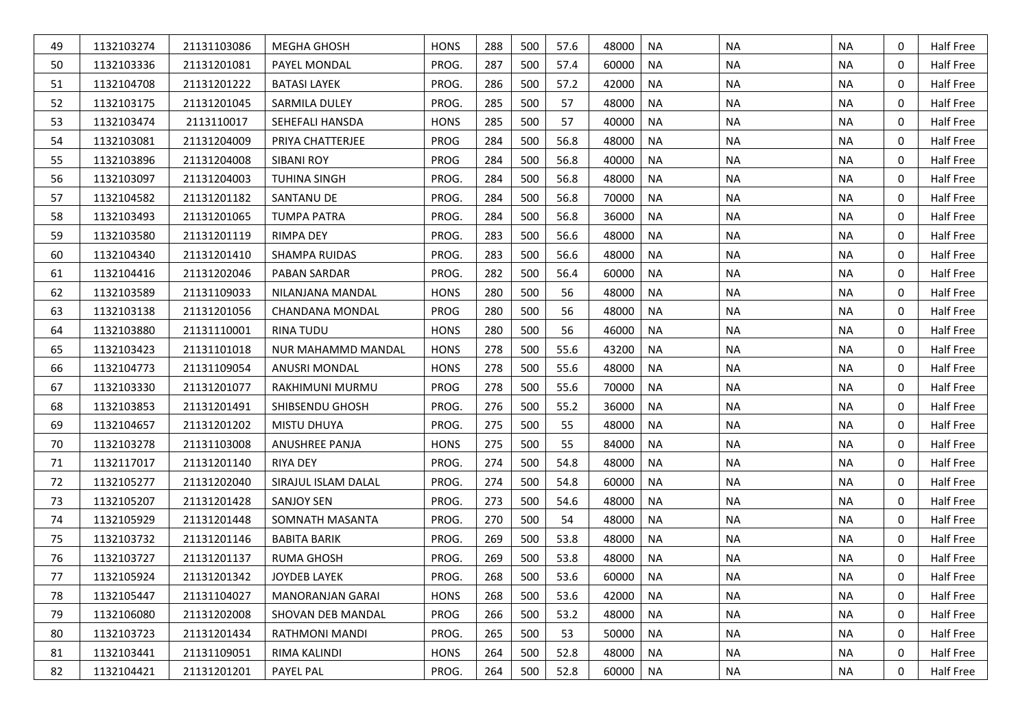| 49 | 1132103274 | 21131103086 | <b>MEGHA GHOSH</b>        | <b>HONS</b> | 288 | 500 | 57.6 | 48000 | <b>NA</b> | <b>NA</b> | <b>NA</b> | 0            | Half Free |
|----|------------|-------------|---------------------------|-------------|-----|-----|------|-------|-----------|-----------|-----------|--------------|-----------|
| 50 | 1132103336 | 21131201081 | PAYEL MONDAL              | PROG.       | 287 | 500 | 57.4 | 60000 | <b>NA</b> | <b>NA</b> | <b>NA</b> | 0            | Half Free |
| 51 | 1132104708 | 21131201222 | <b>BATASI LAYEK</b>       | PROG.       | 286 | 500 | 57.2 | 42000 | <b>NA</b> | <b>NA</b> | <b>NA</b> | $\mathbf 0$  | Half Free |
| 52 | 1132103175 | 21131201045 | <b>SARMILA DULEY</b>      | PROG.       | 285 | 500 | 57   | 48000 | <b>NA</b> | <b>NA</b> | <b>NA</b> | $\mathbf{0}$ | Half Free |
| 53 | 1132103474 | 2113110017  | <b>SEHEFALI HANSDA</b>    | <b>HONS</b> | 285 | 500 | 57   | 40000 | <b>NA</b> | <b>NA</b> | <b>NA</b> | $\mathbf 0$  | Half Free |
| 54 | 1132103081 | 21131204009 | PRIYA CHATTERJEE          | PROG        | 284 | 500 | 56.8 | 48000 | <b>NA</b> | <b>NA</b> | <b>NA</b> | $\mathbf{0}$ | Half Free |
| 55 | 1132103896 | 21131204008 | <b>SIBANI ROY</b>         | PROG        | 284 | 500 | 56.8 | 40000 | <b>NA</b> | <b>NA</b> | <b>NA</b> | 0            | Half Free |
| 56 | 1132103097 | 21131204003 | <b>TUHINA SINGH</b>       | PROG.       | 284 | 500 | 56.8 | 48000 | <b>NA</b> | <b>NA</b> | <b>NA</b> | $\mathbf 0$  | Half Free |
| 57 | 1132104582 | 21131201182 | SANTANU DE                | PROG.       | 284 | 500 | 56.8 | 70000 | <b>NA</b> | <b>NA</b> | <b>NA</b> | 0            | Half Free |
| 58 | 1132103493 | 21131201065 | <b>TUMPA PATRA</b>        | PROG.       | 284 | 500 | 56.8 | 36000 | <b>NA</b> | <b>NA</b> | <b>NA</b> | $\mathbf 0$  | Half Free |
| 59 | 1132103580 | 21131201119 | <b>RIMPA DEY</b>          | PROG.       | 283 | 500 | 56.6 | 48000 | <b>NA</b> | <b>NA</b> | <b>NA</b> | $\mathbf{0}$ | Half Free |
| 60 | 1132104340 | 21131201410 | <b>SHAMPA RUIDAS</b>      | PROG.       | 283 | 500 | 56.6 | 48000 | <b>NA</b> | <b>NA</b> | <b>NA</b> | $\mathbf{0}$ | Half Free |
| 61 | 1132104416 | 21131202046 | PABAN SARDAR              | PROG.       | 282 | 500 | 56.4 | 60000 | <b>NA</b> | <b>NA</b> | <b>NA</b> | $\mathbf{0}$ | Half Free |
| 62 | 1132103589 | 21131109033 | NILANJANA MANDAL          | <b>HONS</b> | 280 | 500 | 56   | 48000 | <b>NA</b> | <b>NA</b> | <b>NA</b> | 0            | Half Free |
| 63 | 1132103138 | 21131201056 | <b>CHANDANA MONDAL</b>    | PROG        | 280 | 500 | 56   | 48000 | <b>NA</b> | <b>NA</b> | <b>NA</b> | $\mathbf 0$  | Half Free |
| 64 | 1132103880 | 21131110001 | RINA TUDU                 | <b>HONS</b> | 280 | 500 | 56   | 46000 | <b>NA</b> | <b>NA</b> | <b>NA</b> | $\mathbf{0}$ | Half Free |
| 65 | 1132103423 | 21131101018 | <b>NUR MAHAMMD MANDAL</b> | <b>HONS</b> | 278 | 500 | 55.6 | 43200 | <b>NA</b> | <b>NA</b> | <b>NA</b> | $\mathbf 0$  | Half Free |
| 66 | 1132104773 | 21131109054 | ANUSRI MONDAL             | <b>HONS</b> | 278 | 500 | 55.6 | 48000 | <b>NA</b> | <b>NA</b> | <b>NA</b> | $\mathbf{0}$ | Half Free |
| 67 | 1132103330 | 21131201077 | RAKHIMUNI MURMU           | PROG        | 278 | 500 | 55.6 | 70000 | <b>NA</b> | <b>NA</b> | <b>NA</b> | 0            | Half Free |
| 68 | 1132103853 | 21131201491 | SHIBSENDU GHOSH           | PROG.       | 276 | 500 | 55.2 | 36000 | <b>NA</b> | <b>NA</b> | <b>NA</b> | $\mathbf 0$  | Half Free |
| 69 | 1132104657 | 21131201202 | <b>MISTU DHUYA</b>        | PROG.       | 275 | 500 | 55   | 48000 | <b>NA</b> | <b>NA</b> | <b>NA</b> | 0            | Half Free |
| 70 | 1132103278 | 21131103008 | <b>ANUSHREE PANJA</b>     | <b>HONS</b> | 275 | 500 | 55   | 84000 | <b>NA</b> | <b>NA</b> | <b>NA</b> | $\mathbf 0$  | Half Free |
| 71 | 1132117017 | 21131201140 | <b>RIYA DEY</b>           | PROG.       | 274 | 500 | 54.8 | 48000 | <b>NA</b> | <b>NA</b> | <b>NA</b> | $\mathbf{0}$ | Half Free |
| 72 | 1132105277 | 21131202040 | SIRAJUL ISLAM DALAL       | PROG.       | 274 | 500 | 54.8 | 60000 | <b>NA</b> | <b>NA</b> | <b>NA</b> | $\mathbf{0}$ | Half Free |
| 73 | 1132105207 | 21131201428 | <b>SANJOY SEN</b>         | PROG.       | 273 | 500 | 54.6 | 48000 | <b>NA</b> | <b>NA</b> | <b>NA</b> | $\mathbf{0}$ | Half Free |
| 74 | 1132105929 | 21131201448 | SOMNATH MASANTA           | PROG.       | 270 | 500 | 54   | 48000 | <b>NA</b> | <b>NA</b> | <b>NA</b> | 0            | Half Free |
| 75 | 1132103732 | 21131201146 | <b>BABITA BARIK</b>       | PROG.       | 269 | 500 | 53.8 | 48000 | <b>NA</b> | <b>NA</b> | <b>NA</b> | $\mathbf 0$  | Half Free |
| 76 | 1132103727 | 21131201137 | RUMA GHOSH                | PROG.       | 269 | 500 | 53.8 | 48000 | <b>NA</b> | <b>NA</b> | <b>NA</b> | $\mathbf{0}$ | Half Free |
| 77 | 1132105924 | 21131201342 | JOYDEB LAYEK              | PROG.       | 268 | 500 | 53.6 | 60000 | NA        | NA        | <b>NA</b> | $\Omega$     | Half Free |
| 78 | 1132105447 | 21131104027 | <b>MANORANJAN GARAI</b>   | <b>HONS</b> | 268 | 500 | 53.6 | 42000 | <b>NA</b> | <b>NA</b> | <b>NA</b> | $\mathbf{0}$ | Half Free |
| 79 | 1132106080 | 21131202008 | SHOVAN DEB MANDAL         | PROG        | 266 | 500 | 53.2 | 48000 | <b>NA</b> | <b>NA</b> | <b>NA</b> | 0            | Half Free |
| 80 | 1132103723 | 21131201434 | RATHMONI MANDI            | PROG.       | 265 | 500 | 53   | 50000 | <b>NA</b> | <b>NA</b> | <b>NA</b> | 0            | Half Free |
| 81 | 1132103441 | 21131109051 | RIMA KALINDI              | <b>HONS</b> | 264 | 500 | 52.8 | 48000 | <b>NA</b> | <b>NA</b> | <b>NA</b> | 0            | Half Free |
| 82 | 1132104421 | 21131201201 | PAYEL PAL                 | PROG.       | 264 | 500 | 52.8 | 60000 | <b>NA</b> | <b>NA</b> | <b>NA</b> | $\mathbf 0$  | Half Free |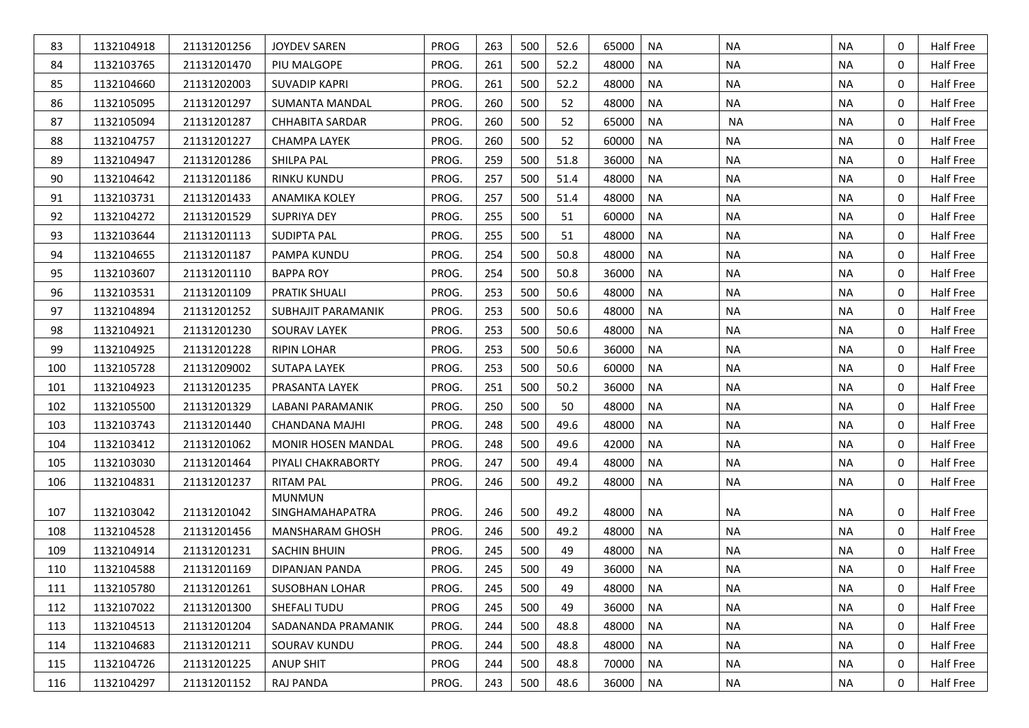| 83  | 1132104918 | 21131201256 | <b>JOYDEV SAREN</b>       | PROG        | 263 | 500 | 52.6 | 65000 | <b>NA</b> | <b>NA</b> | <b>NA</b> | 0 | Half Free |
|-----|------------|-------------|---------------------------|-------------|-----|-----|------|-------|-----------|-----------|-----------|---|-----------|
| 84  | 1132103765 | 21131201470 | PIU MALGOPE               | PROG.       | 261 | 500 | 52.2 | 48000 | NA        | <b>NA</b> | <b>NA</b> | 0 | Half Free |
| 85  | 1132104660 | 21131202003 | <b>SUVADIP KAPRI</b>      | PROG.       | 261 | 500 | 52.2 | 48000 | <b>NA</b> | <b>NA</b> | <b>NA</b> | 0 | Half Free |
| 86  | 1132105095 | 21131201297 | <b>SUMANTA MANDAL</b>     | PROG.       | 260 | 500 | 52   | 48000 | <b>NA</b> | <b>NA</b> | <b>NA</b> | 0 | Half Free |
| 87  | 1132105094 | 21131201287 | <b>CHHABITA SARDAR</b>    | PROG.       | 260 | 500 | 52   | 65000 | <b>NA</b> | <b>NA</b> | <b>NA</b> | 0 | Half Free |
| 88  | 1132104757 | 21131201227 | <b>CHAMPA LAYEK</b>       | PROG.       | 260 | 500 | 52   | 60000 | <b>NA</b> | <b>NA</b> | <b>NA</b> | 0 | Half Free |
| 89  | 1132104947 | 21131201286 | SHILPA PAL                | PROG.       | 259 | 500 | 51.8 | 36000 | <b>NA</b> | <b>NA</b> | <b>NA</b> | 0 | Half Free |
| 90  | 1132104642 | 21131201186 | <b>RINKU KUNDU</b>        | PROG.       | 257 | 500 | 51.4 | 48000 | <b>NA</b> | <b>NA</b> | <b>NA</b> | 0 | Half Free |
| 91  | 1132103731 | 21131201433 | <b>ANAMIKA KOLEY</b>      | PROG.       | 257 | 500 | 51.4 | 48000 | <b>NA</b> | <b>NA</b> | <b>NA</b> | 0 | Half Free |
| 92  | 1132104272 | 21131201529 | <b>SUPRIYA DEY</b>        | PROG.       | 255 | 500 | 51   | 60000 | <b>NA</b> | <b>NA</b> | <b>NA</b> | 0 | Half Free |
| 93  | 1132103644 | 21131201113 | <b>SUDIPTA PAL</b>        | PROG.       | 255 | 500 | 51   | 48000 | <b>NA</b> | <b>NA</b> | <b>NA</b> | 0 | Half Free |
| 94  | 1132104655 | 21131201187 | PAMPA KUNDU               | PROG.       | 254 | 500 | 50.8 | 48000 | <b>NA</b> | <b>NA</b> | <b>NA</b> | 0 | Half Free |
| 95  | 1132103607 | 21131201110 | <b>BAPPA ROY</b>          | PROG.       | 254 | 500 | 50.8 | 36000 | <b>NA</b> | <b>NA</b> | <b>NA</b> | 0 | Half Free |
| 96  | 1132103531 | 21131201109 | PRATIK SHUALI             | PROG.       | 253 | 500 | 50.6 | 48000 | <b>NA</b> | <b>NA</b> | <b>NA</b> | 0 | Half Free |
| 97  | 1132104894 | 21131201252 | SUBHAJIT PARAMANIK        | PROG.       | 253 | 500 | 50.6 | 48000 | <b>NA</b> | <b>NA</b> | <b>NA</b> | 0 | Half Free |
| 98  | 1132104921 | 21131201230 | <b>SOURAV LAYEK</b>       | PROG.       | 253 | 500 | 50.6 | 48000 | <b>NA</b> | <b>NA</b> | <b>NA</b> | 0 | Half Free |
| 99  | 1132104925 | 21131201228 | <b>RIPIN LOHAR</b>        | PROG.       | 253 | 500 | 50.6 | 36000 | <b>NA</b> | <b>NA</b> | <b>NA</b> | 0 | Half Free |
| 100 | 1132105728 | 21131209002 | <b>SUTAPA LAYEK</b>       | PROG.       | 253 | 500 | 50.6 | 60000 | <b>NA</b> | <b>NA</b> | <b>NA</b> | 0 | Half Free |
| 101 | 1132104923 | 21131201235 | PRASANTA LAYEK            | PROG.       | 251 | 500 | 50.2 | 36000 | <b>NA</b> | <b>NA</b> | <b>NA</b> | 0 | Half Free |
| 102 | 1132105500 | 21131201329 | LABANI PARAMANIK          | PROG.       | 250 | 500 | 50   | 48000 | <b>NA</b> | <b>NA</b> | <b>NA</b> | 0 | Half Free |
| 103 | 1132103743 | 21131201440 | <b>CHANDANA MAJHI</b>     | PROG.       | 248 | 500 | 49.6 | 48000 | <b>NA</b> | <b>NA</b> | ΝA        | 0 | Half Free |
| 104 | 1132103412 | 21131201062 | <b>MONIR HOSEN MANDAL</b> | PROG.       | 248 | 500 | 49.6 | 42000 | <b>NA</b> | <b>NA</b> | <b>NA</b> | 0 | Half Free |
| 105 | 1132103030 | 21131201464 | PIYALI CHAKRABORTY        | PROG.       | 247 | 500 | 49.4 | 48000 | <b>NA</b> | <b>NA</b> | ΝA        | 0 | Half Free |
| 106 | 1132104831 | 21131201237 | <b>RITAM PAL</b>          | PROG.       | 246 | 500 | 49.2 | 48000 | <b>NA</b> | <b>NA</b> | <b>NA</b> | 0 | Half Free |
|     |            |             | <b>MUNMUN</b>             |             |     |     |      |       |           |           |           |   |           |
| 107 | 1132103042 | 21131201042 | SINGHAMAHAPATRA           | PROG.       | 246 | 500 | 49.2 | 48000 | NA        | NA        | ΝA        | 0 | Half Free |
| 108 | 1132104528 | 21131201456 | <b>MANSHARAM GHOSH</b>    | PROG.       | 246 | 500 | 49.2 | 48000 | <b>NA</b> | <b>NA</b> | <b>NA</b> | 0 | Half Free |
| 109 | 1132104914 | 21131201231 | <b>SACHIN BHUIN</b>       | PROG.       | 245 | 500 | 49   | 48000 | NA        | <b>NA</b> | ΝA        | 0 | Half Free |
| 110 | 1132104588 | 21131201169 | DIPANJAN PANDA            | PROG.       | 245 | 500 | 49   | 36000 | <b>NA</b> | <b>NA</b> | <b>NA</b> | 0 | Half Free |
| 111 | 1132105780 | 21131201261 | <b>SUSOBHAN LOHAR</b>     | PROG.       | 245 | 500 | 49   | 48000 | NA        | NA        | <b>NA</b> | 0 | Half Free |
| 112 | 1132107022 | 21131201300 | SHEFALI TUDU              | <b>PROG</b> | 245 | 500 | 49   | 36000 | <b>NA</b> | <b>NA</b> | <b>NA</b> | 0 | Half Free |
| 113 | 1132104513 | 21131201204 | SADANANDA PRAMANIK        | PROG.       | 244 | 500 | 48.8 | 48000 | <b>NA</b> | <b>NA</b> | <b>NA</b> | 0 | Half Free |
| 114 | 1132104683 | 21131201211 | SOURAV KUNDU              | PROG.       | 244 | 500 | 48.8 | 48000 | <b>NA</b> | <b>NA</b> | NA        | 0 | Half Free |
| 115 | 1132104726 | 21131201225 | <b>ANUP SHIT</b>          | <b>PROG</b> | 244 | 500 | 48.8 | 70000 | <b>NA</b> | <b>NA</b> | <b>NA</b> | 0 | Half Free |
| 116 | 1132104297 | 21131201152 | RAJ PANDA                 | PROG.       | 243 | 500 | 48.6 | 36000 | <b>NA</b> | <b>NA</b> | <b>NA</b> | 0 | Half Free |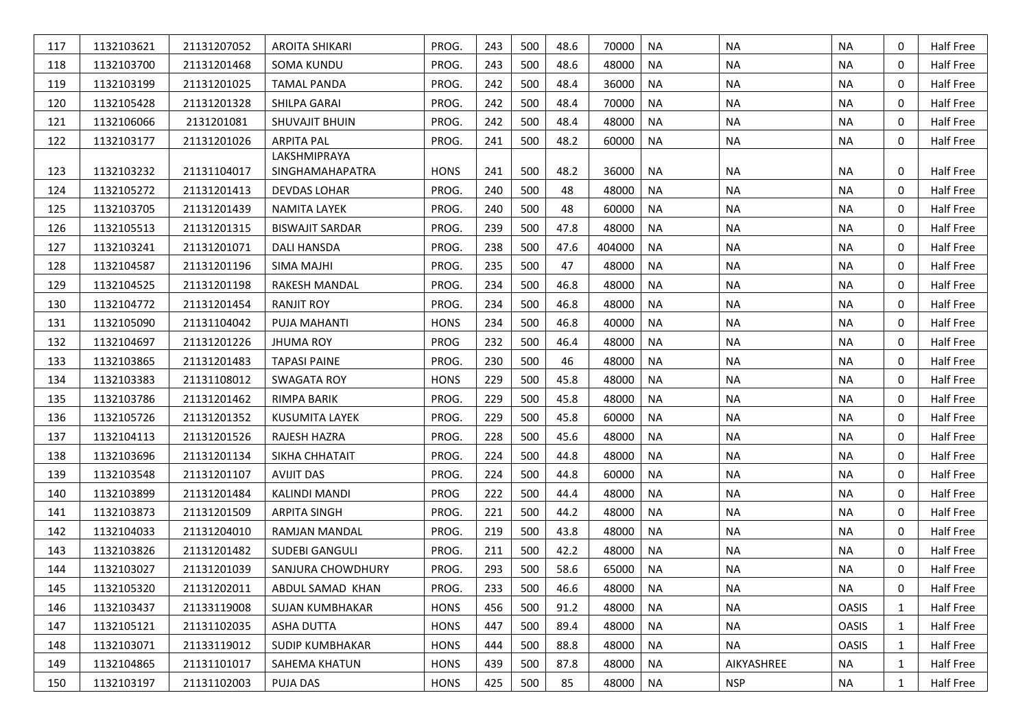| 117 | 1132103621 | 21131207052 | <b>AROITA SHIKARI</b>  | PROG.       | 243 | 500 | 48.6 | 70000  | <b>NA</b> | <b>NA</b>  | <b>NA</b>    | 0            | Half Free |
|-----|------------|-------------|------------------------|-------------|-----|-----|------|--------|-----------|------------|--------------|--------------|-----------|
| 118 | 1132103700 | 21131201468 | <b>SOMA KUNDU</b>      | PROG.       | 243 | 500 | 48.6 | 48000  | <b>NA</b> | <b>NA</b>  | <b>NA</b>    | 0            | Half Free |
| 119 | 1132103199 | 21131201025 | <b>TAMAL PANDA</b>     | PROG.       | 242 | 500 | 48.4 | 36000  | <b>NA</b> | <b>NA</b>  | <b>NA</b>    | $\mathbf 0$  | Half Free |
| 120 | 1132105428 | 21131201328 | SHILPA GARAI           | PROG.       | 242 | 500 | 48.4 | 70000  | <b>NA</b> | <b>NA</b>  | <b>NA</b>    | 0            | Half Free |
| 121 | 1132106066 | 2131201081  | <b>SHUVAJIT BHUIN</b>  | PROG.       | 242 | 500 | 48.4 | 48000  | <b>NA</b> | <b>NA</b>  | <b>NA</b>    | 0            | Half Free |
| 122 | 1132103177 | 21131201026 | <b>ARPITA PAL</b>      | PROG.       | 241 | 500 | 48.2 | 60000  | <b>NA</b> | <b>NA</b>  | ΝA           | $\mathbf 0$  | Half Free |
|     |            |             | LAKSHMIPRAYA           |             |     |     |      |        |           |            |              |              |           |
| 123 | 1132103232 | 21131104017 | SINGHAMAHAPATRA        | <b>HONS</b> | 241 | 500 | 48.2 | 36000  | <b>NA</b> | NA.        | <b>NA</b>    | 0            | Half Free |
| 124 | 1132105272 | 21131201413 | <b>DEVDAS LOHAR</b>    | PROG.       | 240 | 500 | 48   | 48000  | <b>NA</b> | <b>NA</b>  | <b>NA</b>    | 0            | Half Free |
| 125 | 1132103705 | 21131201439 | <b>NAMITA LAYEK</b>    | PROG.       | 240 | 500 | 48   | 60000  | <b>NA</b> | <b>NA</b>  | <b>NA</b>    | 0            | Half Free |
| 126 | 1132105513 | 21131201315 | <b>BISWAJIT SARDAR</b> | PROG.       | 239 | 500 | 47.8 | 48000  | <b>NA</b> | <b>NA</b>  | <b>NA</b>    | 0            | Half Free |
| 127 | 1132103241 | 21131201071 | DALI HANSDA            | PROG.       | 238 | 500 | 47.6 | 404000 | <b>NA</b> | <b>NA</b>  | <b>NA</b>    | $\mathbf 0$  | Half Free |
| 128 | 1132104587 | 21131201196 | <b>SIMA MAJHI</b>      | PROG.       | 235 | 500 | 47   | 48000  | <b>NA</b> | <b>NA</b>  | <b>NA</b>    | $\mathbf 0$  | Half Free |
| 129 | 1132104525 | 21131201198 | <b>RAKESH MANDAL</b>   | PROG.       | 234 | 500 | 46.8 | 48000  | <b>NA</b> | <b>NA</b>  | ΝA           | 0            | Half Free |
| 130 | 1132104772 | 21131201454 | <b>RANJIT ROY</b>      | PROG.       | 234 | 500 | 46.8 | 48000  | <b>NA</b> | <b>NA</b>  | <b>NA</b>    | $\mathbf 0$  | Half Free |
| 131 | 1132105090 | 21131104042 | PUJA MAHANTI           | <b>HONS</b> | 234 | 500 | 46.8 | 40000  | <b>NA</b> | <b>NA</b>  | <b>NA</b>    | 0            | Half Free |
| 132 | 1132104697 | 21131201226 | <b>JHUMA ROY</b>       | <b>PROG</b> | 232 | 500 | 46.4 | 48000  | <b>NA</b> | <b>NA</b>  | <b>NA</b>    | $\mathbf 0$  | Half Free |
| 133 | 1132103865 | 21131201483 | <b>TAPASI PAINE</b>    | PROG.       | 230 | 500 | 46   | 48000  | <b>NA</b> | <b>NA</b>  | <b>NA</b>    | $\mathbf{0}$ | Half Free |
| 134 | 1132103383 | 21131108012 | <b>SWAGATA ROY</b>     | <b>HONS</b> | 229 | 500 | 45.8 | 48000  | <b>NA</b> | <b>NA</b>  | <b>NA</b>    | $\mathbf 0$  | Half Free |
| 135 | 1132103786 | 21131201462 | <b>RIMPA BARIK</b>     | PROG.       | 229 | 500 | 45.8 | 48000  | <b>NA</b> | <b>NA</b>  | <b>NA</b>    | 0            | Half Free |
| 136 | 1132105726 | 21131201352 | KUSUMITA LAYEK         | PROG.       | 229 | 500 | 45.8 | 60000  | <b>NA</b> | <b>NA</b>  | <b>NA</b>    | 0            | Half Free |
| 137 | 1132104113 | 21131201526 | RAJESH HAZRA           | PROG.       | 228 | 500 | 45.6 | 48000  | <b>NA</b> | <b>NA</b>  | <b>NA</b>    | 0            | Half Free |
| 138 | 1132103696 | 21131201134 | SIKHA CHHATAIT         | PROG.       | 224 | 500 | 44.8 | 48000  | <b>NA</b> | <b>NA</b>  | <b>NA</b>    | 0            | Half Free |
| 139 | 1132103548 | 21131201107 | <b>AVIJIT DAS</b>      | PROG.       | 224 | 500 | 44.8 | 60000  | <b>NA</b> | <b>NA</b>  | <b>NA</b>    | 0            | Half Free |
| 140 | 1132103899 | 21131201484 | <b>KALINDI MANDI</b>   | PROG        | 222 | 500 | 44.4 | 48000  | <b>NA</b> | <b>NA</b>  | <b>NA</b>    | 0            | Half Free |
| 141 | 1132103873 | 21131201509 | <b>ARPITA SINGH</b>    | PROG.       | 221 | 500 | 44.2 | 48000  | <b>NA</b> | <b>NA</b>  | <b>NA</b>    | 0            | Half Free |
| 142 | 1132104033 | 21131204010 | RAMJAN MANDAL          | PROG.       | 219 | 500 | 43.8 | 48000  | <b>NA</b> | <b>NA</b>  | <b>NA</b>    | $\mathbf 0$  | Half Free |
| 143 | 1132103826 | 21131201482 | <b>SUDEBI GANGULI</b>  | PROG.       | 211 | 500 | 42.2 | 48000  | <b>NA</b> | <b>NA</b>  | <b>NA</b>    | 0            | Half Free |
| 144 | 1132103027 | 21131201039 | SANJURA CHOWDHURY      | PROG.       | 293 | 500 | 58.6 | 65000  | NA        | <b>NA</b>  | <b>NA</b>    | 0            | Half Free |
| 145 | 1132105320 | 21131202011 | ABDUL SAMAD KHAN       | PROG.       | 233 | 500 | 46.6 | 48000  | <b>NA</b> | NA         | <b>NA</b>    | 0            | Half Free |
| 146 | 1132103437 | 21133119008 | <b>SUJAN KUMBHAKAR</b> | <b>HONS</b> | 456 | 500 | 91.2 | 48000  | <b>NA</b> | <b>NA</b>  | <b>OASIS</b> | $\mathbf{1}$ | Half Free |
| 147 | 1132105121 | 21131102035 | ASHA DUTTA             | <b>HONS</b> | 447 | 500 | 89.4 | 48000  | <b>NA</b> | <b>NA</b>  | <b>OASIS</b> | 1            | Half Free |
| 148 | 1132103071 | 21133119012 | <b>SUDIP KUMBHAKAR</b> | <b>HONS</b> | 444 | 500 | 88.8 | 48000  | <b>NA</b> | <b>NA</b>  | <b>OASIS</b> | 1            | Half Free |
| 149 | 1132104865 | 21131101017 | SAHEMA KHATUN          | <b>HONS</b> | 439 | 500 | 87.8 | 48000  | <b>NA</b> | AIKYASHREE | <b>NA</b>    | $\mathbf{1}$ | Half Free |
| 150 | 1132103197 | 21131102003 | PUJA DAS               | <b>HONS</b> | 425 | 500 | 85   | 48000  | <b>NA</b> | <b>NSP</b> | <b>NA</b>    | $\mathbf{1}$ | Half Free |
|     |            |             |                        |             |     |     |      |        |           |            |              |              |           |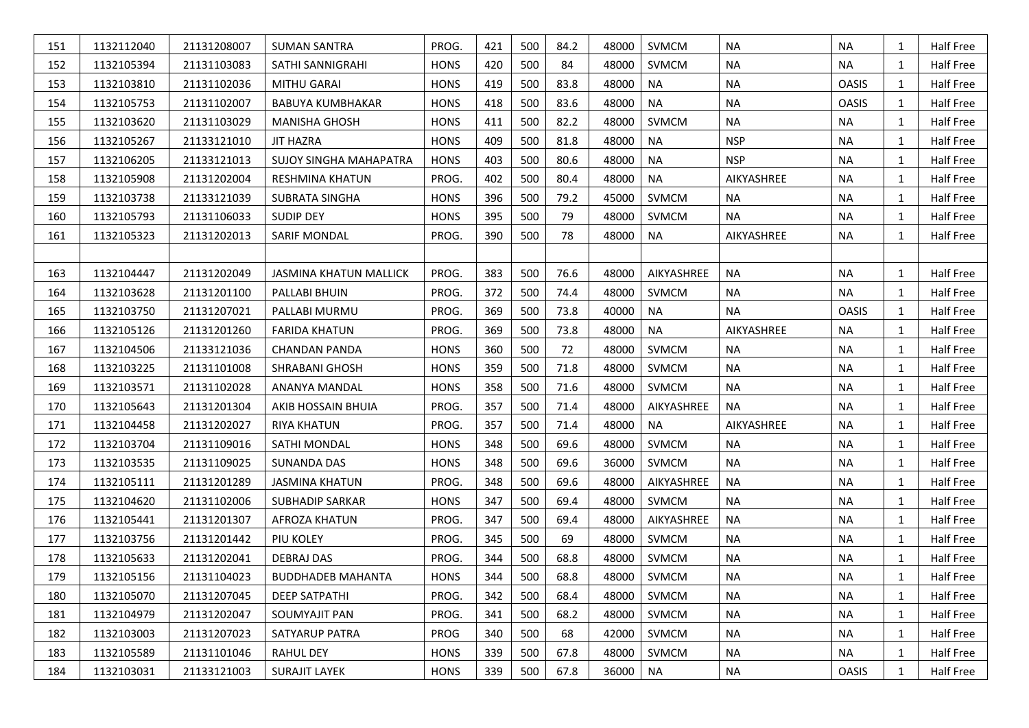| 151 | 1132112040 | 21131208007 | <b>SUMAN SANTRA</b>           | PROG.       | 421 | 500 | 84.2 | 48000 | <b>SVMCM</b> | <b>NA</b>  | <b>NA</b>    | 1            | Half Free |
|-----|------------|-------------|-------------------------------|-------------|-----|-----|------|-------|--------------|------------|--------------|--------------|-----------|
| 152 | 1132105394 | 21131103083 | SATHI SANNIGRAHI              | <b>HONS</b> | 420 | 500 | 84   | 48000 | SVMCM        | <b>NA</b>  | <b>NA</b>    | 1            | Half Free |
| 153 | 1132103810 | 21131102036 | <b>MITHU GARAI</b>            | <b>HONS</b> | 419 | 500 | 83.8 | 48000 | <b>NA</b>    | <b>NA</b>  | <b>OASIS</b> | $\mathbf{1}$ | Half Free |
| 154 | 1132105753 | 21131102007 | <b>BABUYA KUMBHAKAR</b>       | <b>HONS</b> | 418 | 500 | 83.6 | 48000 | <b>NA</b>    | <b>NA</b>  | <b>OASIS</b> | 1            | Half Free |
| 155 | 1132103620 | 21131103029 | <b>MANISHA GHOSH</b>          | <b>HONS</b> | 411 | 500 | 82.2 | 48000 | <b>SVMCM</b> | <b>NA</b>  | <b>NA</b>    | 1            | Half Free |
| 156 | 1132105267 | 21133121010 | <b>JIT HAZRA</b>              | <b>HONS</b> | 409 | 500 | 81.8 | 48000 | <b>NA</b>    | <b>NSP</b> | <b>NA</b>    | $\mathbf{1}$ | Half Free |
| 157 | 1132106205 | 21133121013 | <b>SUJOY SINGHA MAHAPATRA</b> | <b>HONS</b> | 403 | 500 | 80.6 | 48000 | <b>NA</b>    | <b>NSP</b> | <b>NA</b>    | 1            | Half Free |
| 158 | 1132105908 | 21131202004 | RESHMINA KHATUN               | PROG.       | 402 | 500 | 80.4 | 48000 | <b>NA</b>    | AIKYASHREE | <b>NA</b>    | 1            | Half Free |
| 159 | 1132103738 | 21133121039 | <b>SUBRATA SINGHA</b>         | <b>HONS</b> | 396 | 500 | 79.2 | 45000 | SVMCM        | <b>NA</b>  | <b>NA</b>    | 1            | Half Free |
| 160 | 1132105793 | 21131106033 | <b>SUDIP DEY</b>              | <b>HONS</b> | 395 | 500 | 79   | 48000 | SVMCM        | <b>NA</b>  | <b>NA</b>    | 1            | Half Free |
| 161 | 1132105323 | 21131202013 | <b>SARIF MONDAL</b>           | PROG.       | 390 | 500 | 78   | 48000 | <b>NA</b>    | AIKYASHREE | <b>NA</b>    | 1            | Half Free |
|     |            |             |                               |             |     |     |      |       |              |            |              |              |           |
| 163 | 1132104447 | 21131202049 | <b>JASMINA KHATUN MALLICK</b> | PROG.       | 383 | 500 | 76.6 | 48000 | AIKYASHREE   | <b>NA</b>  | <b>NA</b>    | 1            | Half Free |
| 164 | 1132103628 | 21131201100 | PALLABI BHUIN                 | PROG.       | 372 | 500 | 74.4 | 48000 | SVMCM        | <b>NA</b>  | <b>NA</b>    | 1            | Half Free |
| 165 | 1132103750 | 21131207021 | PALLABI MURMU                 | PROG.       | 369 | 500 | 73.8 | 40000 | <b>NA</b>    | <b>NA</b>  | <b>OASIS</b> | 1            | Half Free |
| 166 | 1132105126 | 21131201260 | <b>FARIDA KHATUN</b>          | PROG.       | 369 | 500 | 73.8 | 48000 | <b>NA</b>    | AIKYASHREE | NA           | 1            | Half Free |
| 167 | 1132104506 | 21133121036 | <b>CHANDAN PANDA</b>          | <b>HONS</b> | 360 | 500 | 72   | 48000 | <b>SVMCM</b> | NA         | <b>NA</b>    | 1            | Half Free |
| 168 | 1132103225 | 21131101008 | <b>SHRABANI GHOSH</b>         | <b>HONS</b> | 359 | 500 | 71.8 | 48000 | SVMCM        | <b>NA</b>  | <b>NA</b>    | $\mathbf{1}$ | Half Free |
| 169 | 1132103571 | 21131102028 | ANANYA MANDAL                 | <b>HONS</b> | 358 | 500 | 71.6 | 48000 | SVMCM        | <b>NA</b>  | <b>NA</b>    | 1            | Half Free |
| 170 | 1132105643 | 21131201304 | AKIB HOSSAIN BHUIA            | PROG.       | 357 | 500 | 71.4 | 48000 | AIKYASHREE   | <b>NA</b>  | <b>NA</b>    | 1            | Half Free |
| 171 | 1132104458 | 21131202027 | RIYA KHATUN                   | PROG.       | 357 | 500 | 71.4 | 48000 | <b>NA</b>    | AIKYASHREE | NA           | 1            | Half Free |
| 172 | 1132103704 | 21131109016 | SATHI MONDAL                  | <b>HONS</b> | 348 | 500 | 69.6 | 48000 | SVMCM        | <b>NA</b>  | <b>NA</b>    | 1            | Half Free |
| 173 | 1132103535 | 21131109025 | <b>SUNANDA DAS</b>            | <b>HONS</b> | 348 | 500 | 69.6 | 36000 | SVMCM        | <b>NA</b>  | <b>NA</b>    | 1            | Half Free |
| 174 | 1132105111 | 21131201289 | <b>JASMINA KHATUN</b>         | PROG.       | 348 | 500 | 69.6 | 48000 | AIKYASHREE   | <b>NA</b>  | <b>NA</b>    | $\mathbf{1}$ | Half Free |
| 175 | 1132104620 | 21131102006 | <b>SUBHADIP SARKAR</b>        | <b>HONS</b> | 347 | 500 | 69.4 | 48000 | SVMCM        | <b>NA</b>  | <b>NA</b>    | 1            | Half Free |
| 176 | 1132105441 | 21131201307 | AFROZA KHATUN                 | PROG.       | 347 | 500 | 69.4 | 48000 | AIKYASHREE   | <b>NA</b>  | <b>NA</b>    | 1            | Half Free |
| 177 | 1132103756 | 21131201442 | PIU KOLEY                     | PROG.       | 345 | 500 | 69   | 48000 | SVMCM        | <b>NA</b>  | <b>NA</b>    | 1            | Half Free |
| 178 | 1132105633 | 21131202041 | <b>DEBRAJ DAS</b>             | PROG.       | 344 | 500 | 68.8 | 48000 | SVMCM        | <b>NA</b>  | <b>NA</b>    | 1            | Half Free |
| 179 | 1132105156 | 21131104023 | <b>BUDDHADEB MAHANTA</b>      | <b>HONS</b> | 344 | 500 | 68.8 | 48000 | SVMCM        | NA         | <b>NA</b>    | 1            | Half Free |
| 180 | 1132105070 | 21131207045 | <b>DEEP SATPATHI</b>          | PROG.       | 342 | 500 | 68.4 | 48000 | SVMCM        | NA         | <b>NA</b>    | 1            | Half Free |
| 181 | 1132104979 | 21131202047 | SOUMYAJIT PAN                 | PROG.       | 341 | 500 | 68.2 | 48000 | SVMCM        | <b>NA</b>  | <b>NA</b>    | $\mathbf{1}$ | Half Free |
| 182 | 1132103003 | 21131207023 | SATYARUP PATRA                | PROG        | 340 | 500 | 68   | 42000 | SVMCM        | NA         | <b>NA</b>    | $\mathbf{1}$ | Half Free |
| 183 | 1132105589 | 21131101046 | <b>RAHUL DEY</b>              | <b>HONS</b> | 339 | 500 | 67.8 | 48000 | SVMCM        | NA         | <b>NA</b>    | 1            | Half Free |
| 184 | 1132103031 | 21133121003 | <b>SURAJIT LAYEK</b>          | HONS        | 339 | 500 | 67.8 | 36000 | <b>NA</b>    | <b>NA</b>  | <b>OASIS</b> | 1            | Half Free |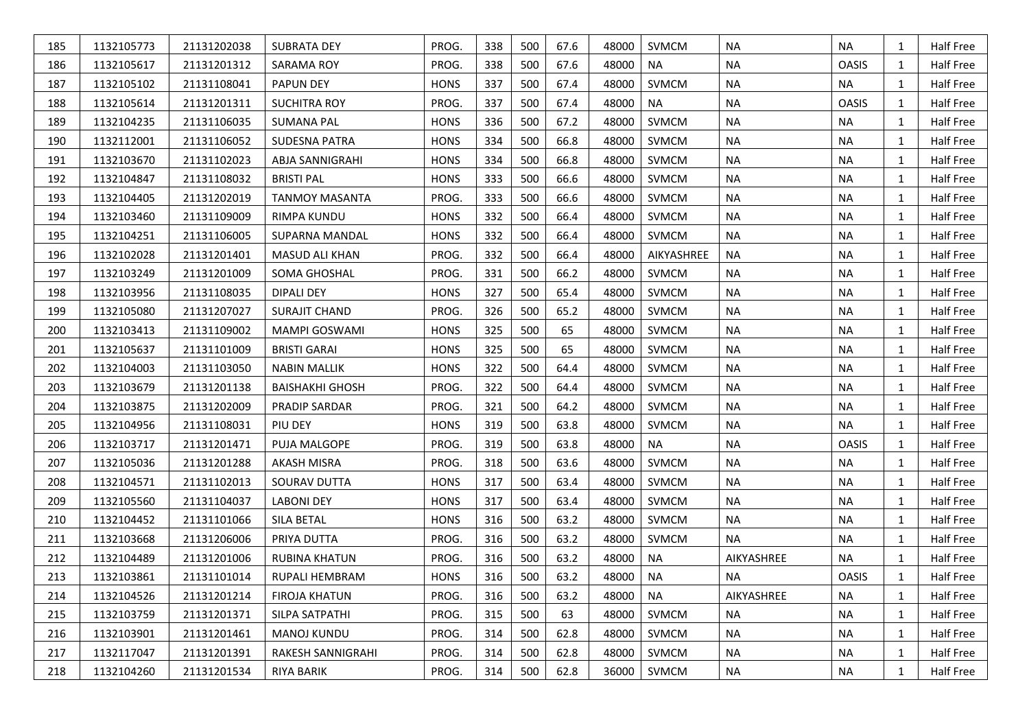| 185 | 1132105773 | 21131202038 | <b>SUBRATA DEY</b>     | PROG.       | 338 | 500 | 67.6 | 48000 | <b>SVMCM</b> | <b>NA</b>  | <b>NA</b>    | 1            | Half Free |
|-----|------------|-------------|------------------------|-------------|-----|-----|------|-------|--------------|------------|--------------|--------------|-----------|
| 186 | 1132105617 | 21131201312 | SARAMA ROY             | PROG.       | 338 | 500 | 67.6 | 48000 | <b>NA</b>    | <b>NA</b>  | <b>OASIS</b> | 1            | Half Free |
| 187 | 1132105102 | 21131108041 | <b>PAPUN DEY</b>       | <b>HONS</b> | 337 | 500 | 67.4 | 48000 | <b>SVMCM</b> | <b>NA</b>  | <b>NA</b>    | 1            | Half Free |
| 188 | 1132105614 | 21131201311 | <b>SUCHITRA ROY</b>    | PROG.       | 337 | 500 | 67.4 | 48000 | <b>NA</b>    | <b>NA</b>  | <b>OASIS</b> | 1            | Half Free |
| 189 | 1132104235 | 21131106035 | <b>SUMANA PAL</b>      | <b>HONS</b> | 336 | 500 | 67.2 | 48000 | SVMCM        | <b>NA</b>  | <b>NA</b>    | 1            | Half Free |
| 190 | 1132112001 | 21131106052 | <b>SUDESNA PATRA</b>   | <b>HONS</b> | 334 | 500 | 66.8 | 48000 | SVMCM        | <b>NA</b>  | <b>NA</b>    | 1            | Half Free |
| 191 | 1132103670 | 21131102023 | ABJA SANNIGRAHI        | <b>HONS</b> | 334 | 500 | 66.8 | 48000 | <b>SVMCM</b> | <b>NA</b>  | <b>NA</b>    | 1            | Half Free |
| 192 | 1132104847 | 21131108032 | <b>BRISTI PAL</b>      | <b>HONS</b> | 333 | 500 | 66.6 | 48000 | SVMCM        | NA         | <b>NA</b>    | $\mathbf{1}$ | Half Free |
| 193 | 1132104405 | 21131202019 | <b>TANMOY MASANTA</b>  | PROG.       | 333 | 500 | 66.6 | 48000 | <b>SVMCM</b> | <b>NA</b>  | <b>NA</b>    | 1            | Half Free |
| 194 | 1132103460 | 21131109009 | <b>RIMPA KUNDU</b>     | <b>HONS</b> | 332 | 500 | 66.4 | 48000 | <b>SVMCM</b> | <b>NA</b>  | <b>NA</b>    | 1            | Half Free |
| 195 | 1132104251 | 21131106005 | SUPARNA MANDAL         | <b>HONS</b> | 332 | 500 | 66.4 | 48000 | SVMCM        | <b>NA</b>  | <b>NA</b>    | 1            | Half Free |
| 196 | 1132102028 | 21131201401 | MASUD ALI KHAN         | PROG.       | 332 | 500 | 66.4 | 48000 | AIKYASHREE   | <b>NA</b>  | <b>NA</b>    | 1            | Half Free |
| 197 | 1132103249 | 21131201009 | SOMA GHOSHAL           | PROG.       | 331 | 500 | 66.2 | 48000 | <b>SVMCM</b> | <b>NA</b>  | <b>NA</b>    | 1            | Half Free |
| 198 | 1132103956 | 21131108035 | <b>DIPALI DEY</b>      | <b>HONS</b> | 327 | 500 | 65.4 | 48000 | SVMCM        | <b>NA</b>  | <b>NA</b>    | 1            | Half Free |
| 199 | 1132105080 | 21131207027 | <b>SURAJIT CHAND</b>   | PROG.       | 326 | 500 | 65.2 | 48000 | <b>SVMCM</b> | <b>NA</b>  | <b>NA</b>    | 1            | Half Free |
| 200 | 1132103413 | 21131109002 | <b>MAMPI GOSWAMI</b>   | <b>HONS</b> | 325 | 500 | 65   | 48000 | <b>SVMCM</b> | <b>NA</b>  | <b>NA</b>    | 1            | Half Free |
| 201 | 1132105637 | 21131101009 | <b>BRISTI GARAI</b>    | <b>HONS</b> | 325 | 500 | 65   | 48000 | SVMCM        | <b>NA</b>  | <b>NA</b>    | 1            | Half Free |
| 202 | 1132104003 | 21131103050 | <b>NABIN MALLIK</b>    | <b>HONS</b> | 322 | 500 | 64.4 | 48000 | SVMCM        | <b>NA</b>  | <b>NA</b>    | 1            | Half Free |
| 203 | 1132103679 | 21131201138 | <b>BAISHAKHI GHOSH</b> | PROG.       | 322 | 500 | 64.4 | 48000 | SVMCM        | <b>NA</b>  | <b>NA</b>    | 1            | Half Free |
| 204 | 1132103875 | 21131202009 | PRADIP SARDAR          | PROG.       | 321 | 500 | 64.2 | 48000 | <b>SVMCM</b> | <b>NA</b>  | <b>NA</b>    | $\mathbf{1}$ | Half Free |
| 205 | 1132104956 | 21131108031 | PIU DEY                | <b>HONS</b> | 319 | 500 | 63.8 | 48000 | <b>SVMCM</b> | <b>NA</b>  | <b>NA</b>    | 1            | Half Free |
| 206 | 1132103717 | 21131201471 | PUJA MALGOPE           | PROG.       | 319 | 500 | 63.8 | 48000 | <b>NA</b>    | <b>NA</b>  | <b>OASIS</b> | 1            | Half Free |
| 207 | 1132105036 | 21131201288 | <b>AKASH MISRA</b>     | PROG.       | 318 | 500 | 63.6 | 48000 | <b>SVMCM</b> | <b>NA</b>  | <b>NA</b>    | 1            | Half Free |
| 208 | 1132104571 | 21131102013 | SOURAV DUTTA           | <b>HONS</b> | 317 | 500 | 63.4 | 48000 | <b>SVMCM</b> | <b>NA</b>  | <b>NA</b>    | 1            | Half Free |
| 209 | 1132105560 | 21131104037 | <b>LABONI DEY</b>      | <b>HONS</b> | 317 | 500 | 63.4 | 48000 | SVMCM        | NA         | <b>NA</b>    | $\mathbf{1}$ | Half Free |
| 210 | 1132104452 | 21131101066 | <b>SILA BETAL</b>      | <b>HONS</b> | 316 | 500 | 63.2 | 48000 | <b>SVMCM</b> | <b>NA</b>  | <b>NA</b>    | 1            | Half Free |
| 211 | 1132103668 | 21131206006 | PRIYA DUTTA            | PROG.       | 316 | 500 | 63.2 | 48000 | <b>SVMCM</b> | <b>NA</b>  | <b>NA</b>    | 1            | Half Free |
| 212 | 1132104489 | 21131201006 | RUBINA KHATUN          | PROG.       | 316 | 500 | 63.2 | 48000 | <b>NA</b>    | AIKYASHREE | <b>NA</b>    | 1            | Half Free |
| 213 | 1132103861 | 21131101014 | RUPALI HEMBRAM         | <b>HONS</b> | 316 | 500 | 63.2 | 48000 | <b>NA</b>    | <b>NA</b>  | <b>OASIS</b> | 1            | Half Free |
| 214 | 1132104526 | 21131201214 | <b>FIROJA KHATUN</b>   | PROG.       | 316 | 500 | 63.2 | 48000 | <b>NA</b>    | AIKYASHREE | <b>NA</b>    | 1            | Half Free |
| 215 | 1132103759 | 21131201371 | SILPA SATPATHI         | PROG.       | 315 | 500 | 63   | 48000 | SVMCM        | <b>NA</b>  | <b>NA</b>    | $\mathbf{1}$ | Half Free |
| 216 | 1132103901 | 21131201461 | <b>MANOJ KUNDU</b>     | PROG.       | 314 | 500 | 62.8 | 48000 | SVMCM        | <b>NA</b>  | <b>NA</b>    | 1            | Half Free |
| 217 | 1132117047 | 21131201391 | RAKESH SANNIGRAHI      | PROG.       | 314 | 500 | 62.8 | 48000 | SVMCM        | NA         | <b>NA</b>    | 1            | Half Free |
| 218 | 1132104260 | 21131201534 | RIYA BARIK             | PROG.       | 314 | 500 | 62.8 | 36000 | SVMCM        | <b>NA</b>  | <b>NA</b>    | $\mathbf{1}$ | Half Free |